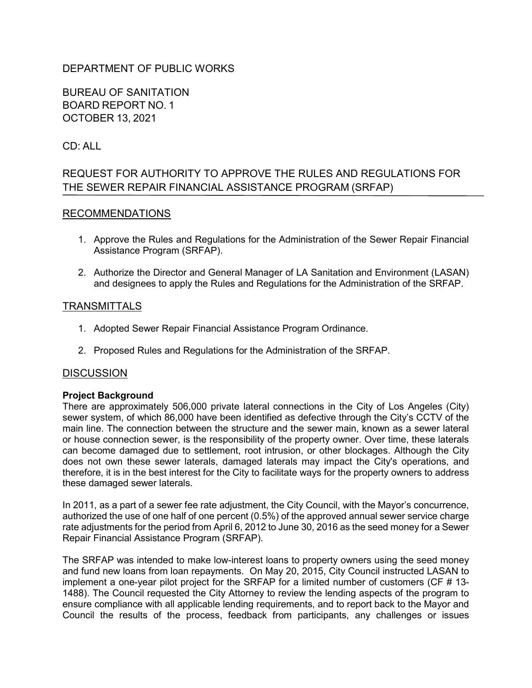# DEPARTMENT OF PUBLIC WORKS

BUREAU OF SANITATION BOARD REPORT NO. 1 OCTOBER 13, 2021

# CD: ALL

# REQUEST FOR AUTHORITY TO APPROVE THE RULES AND REGULATIONS FOR THE SEWER REPAIR FINANCIAL ASSISTANCE PROGRAM (SRFAP)

### RECOMMENDATIONS

- 1. Approve the Rules and Regulations for the Administration of the Sewer Repair Financial Assistance Program (SRFAP).
- 2. Authorize the Director and General Manager of LA Sanitation and Environment (LASAN) and designees to apply the Rules and Regulations for the Administration of the SRFAP.

### **TRANSMITTALS**

- 1. Adopted Sewer Repair Financial Assistance Program Ordinance.
- 2. Proposed Rules and Regulations for the Administration of the SRFAP.

#### **DISCUSSION**

#### **Project Background**

There are approximately 506,000 private lateral connections in the City of Los Angeles (City) sewer system, of which 86,000 have been identified as defective through the City's CCTV of the main line. The connection between the structure and the sewer main, known as a sewer lateral or house connection sewer, is the responsibility of the property owner. Over time, these laterals can become damaged due to settlement, root intrusion, or other blockages. Although the City does not own these sewer laterals, damaged laterals may impact the City's operations, and therefore, it is in the best interest for the City to facilitate ways for the property owners to address these damaged sewer laterals.

In 2011, as a part of a sewer fee rate adjustment, the City Council, with the Mayor's concurrence, authorized the use of one half of one percent (0.5%) of the approved annual sewer service charge rate adjustments for the period from April 6, 2012 to June 30, 2016 as the seed money for a Sewer Repair Financial Assistance Program (SRFAP).

The SRFAP was intended to make low-interest loans to property owners using the seed money and fund new loans from loan repayments. On May 20, 2015, City Council instructed LASAN to implement a one-year pilot project for the SRFAP for a limited number of customers (CF # 13- 1488). The Council requested the City Attorney to review the lending aspects of the program to ensure compliance with all applicable lending requirements, and to report back to the Mayor and Council the results of the process, feedback from participants, any challenges or issues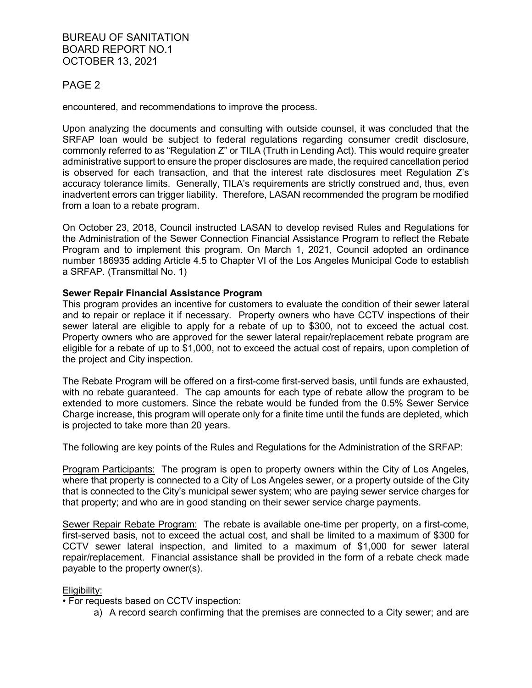BUREAU OF SANITATION BOARD REPORT NO.1 OCTOBER 13, 2021

### PAGE 2

encountered, and recommendations to improve the process.

Upon analyzing the documents and consulting with outside counsel, it was concluded that the SRFAP loan would be subject to federal regulations regarding consumer credit disclosure, commonly referred to as "Regulation Z" or TILA (Truth in Lending Act). This would require greater administrative support to ensure the proper disclosures are made, the required cancellation period is observed for each transaction, and that the interest rate disclosures meet Regulation Z's accuracy tolerance limits. Generally, TILA's requirements are strictly construed and, thus, even inadvertent errors can trigger liability. Therefore, LASAN recommended the program be modified from a loan to a rebate program.

On October 23, 2018, Council instructed LASAN to develop revised Rules and Regulations for the Administration of the Sewer Connection Financial Assistance Program to reflect the Rebate Program and to implement this program. On March 1, 2021, Council adopted an ordinance number 186935 adding Article 4.5 to Chapter VI of the Los Angeles Municipal Code to establish a SRFAP. (Transmittal No. 1)

#### **Sewer Repair Financial Assistance Program**

This program provides an incentive for customers to evaluate the condition of their sewer lateral and to repair or replace it if necessary. Property owners who have CCTV inspections of their sewer lateral are eligible to apply for a rebate of up to \$300, not to exceed the actual cost. Property owners who are approved for the sewer lateral repair/replacement rebate program are eligible for a rebate of up to \$1,000, not to exceed the actual cost of repairs, upon completion of the project and City inspection.

The Rebate Program will be offered on a first-come first-served basis, until funds are exhausted, with no rebate guaranteed. The cap amounts for each type of rebate allow the program to be extended to more customers. Since the rebate would be funded from the 0.5% Sewer Service Charge increase, this program will operate only for a finite time until the funds are depleted, which is projected to take more than 20 years.

The following are key points of the Rules and Regulations for the Administration of the SRFAP:

Program Participants: The program is open to property owners within the City of Los Angeles, where that property is connected to a City of Los Angeles sewer, or a property outside of the City that is connected to the City's municipal sewer system; who are paying sewer service charges for that property; and who are in good standing on their sewer service charge payments.

Sewer Repair Rebate Program: The rebate is available one-time per property, on a first-come, first-served basis, not to exceed the actual cost, and shall be limited to a maximum of \$300 for CCTV sewer lateral inspection, and limited to a maximum of \$1,000 for sewer lateral repair/replacement. Financial assistance shall be provided in the form of a rebate check made payable to the property owner(s).

#### Eligibility:

• For requests based on CCTV inspection:

a) A record search confirming that the premises are connected to a City sewer; and are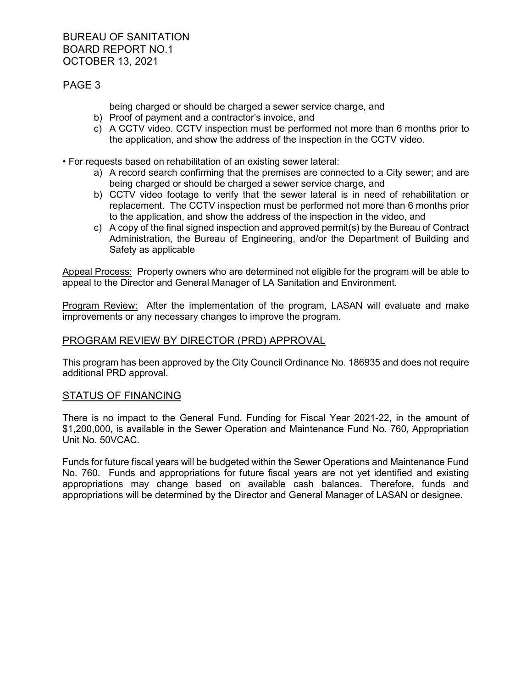## PAGE 3

being charged or should be charged a sewer service charge, and

- b) Proof of payment and a contractor's invoice, and
- c) A CCTV video. CCTV inspection must be performed not more than 6 months prior to the application, and show the address of the inspection in the CCTV video.
- For requests based on rehabilitation of an existing sewer lateral:
	- a) A record search confirming that the premises are connected to a City sewer; and are being charged or should be charged a sewer service charge, and
	- b) CCTV video footage to verify that the sewer lateral is in need of rehabilitation or replacement. The CCTV inspection must be performed not more than 6 months prior to the application, and show the address of the inspection in the video, and
	- c) A copy of the final signed inspection and approved permit(s) by the Bureau of Contract Administration, the Bureau of Engineering, and/or the Department of Building and Safety as applicable

Appeal Process: Property owners who are determined not eligible for the program will be able to appeal to the Director and General Manager of LA Sanitation and Environment.

Program Review: After the implementation of the program, LASAN will evaluate and make improvements or any necessary changes to improve the program.

### PROGRAM REVIEW BY DIRECTOR (PRD) APPROVAL

This program has been approved by the City Council Ordinance No. 186935 and does not require additional PRD approval.

#### STATUS OF FINANCING

There is no impact to the General Fund. Funding for Fiscal Year 2021-22, in the amount of \$1,200,000, is available in the Sewer Operation and Maintenance Fund No. 760, Appropriation Unit No. 50VCAC.

Funds for future fiscal years will be budgeted within the Sewer Operations and Maintenance Fund No. 760. Funds and appropriations for future fiscal years are not yet identified and existing appropriations may change based on available cash balances. Therefore, funds and appropriations will be determined by the Director and General Manager of LASAN or designee.